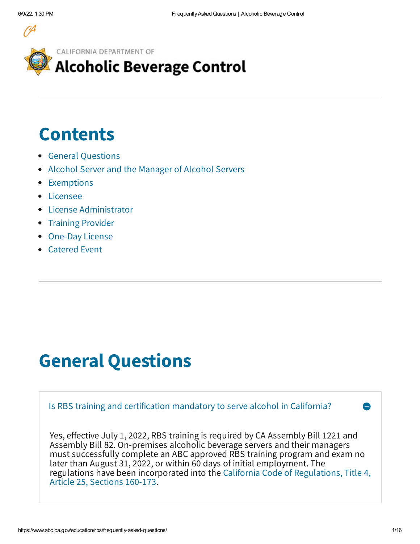

CALIFORNIA DEPARTMENT OF

## **Alcoholic Beverage Control**

# **Contents**

- General [Questions](#page-0-0)
- Alcohol Server and the [Manager](#page-2-0) of Alcohol Servers
- [Exemptions](#page-6-0)
- [Licensee](#page-6-1)
- License [Administrator](#page-8-0)
- Training [Provider](#page-12-0)
- [One-Day](#page-13-0) License
- [Catered](#page-13-1) Event

# <span id="page-0-0"></span>**General Questions**

Is RBS training and certification mandatory to serve alcohol in California? Yes, effective July 1, 2022, RBS training is required by CA Assembly Bill 1221 and Assembly Bill 82. On-premises alcoholic beverage servers and their managers must successfully complete an ABC approved RBS training program and exam no later than August 31, 2022, or within 60 days of initial employment. The regulations have been [incorporated](https://govt.westlaw.com/calregs/Browse/Home/California/CaliforniaCodeofRegulations?guid=I600B6FDDD105482A821802162B621C69&originationContext=documenttoc&transitionType=Default&contextData=(sc.Default)) into the California Code of Regulations, Title 4, Article 25, Sections 160-173.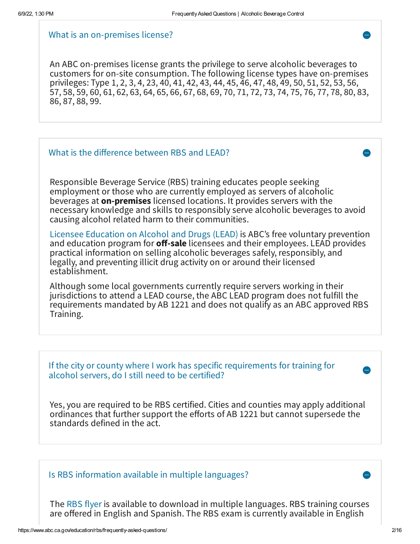#### What is an on-premises license?

An ABC on-premises license grants the privilege to serve alcoholic beverages to customers for on-site consumption. The following license types have on-premises privileges: Type 1, 2, 3, 4, 23, 40, 41, 42, 43, 44, 45, 46, 47, 48, 49, 50, 51, 52, 53, 56, 57, 58, 59, 60, 61, 62, 63, 64, 65, 66, 67, 68, 69, 70, 71, 72, 73, 74, 75, 76, 77, 78, 80, 83, 86, 87, 88, 99.

## What is the difference between RBS and LEAD?

Responsible Beverage Service (RBS) training educates people seeking employment or those who are currently employed as servers of alcoholic beverages at **on-premises** licensed locations. It provides servers with the necessary knowledge and skills to responsibly serve alcoholic beverages to avoid causing alcohol related harm to their communities.

Licensee [Education](https://www.abc.ca.gov/education/lead-training/) on Alcohol and Drugs (LEAD) is ABC's free voluntary prevention and education program for **off-sale** licensees and their employees. LEAD provides practical information on selling alcoholic beverages safely, responsibly, and legally, and preventing illicit drug activity on or around their licensed establishment.

Although some local governments currently require servers working in their jurisdictions to attend a LEAD course, the ABC LEAD program does not fulfill the requirements mandated by AB 1221 and does not qualify as an ABC approved RBS Training.

If the city or county where I work has specific requirements for training for alcohol servers, do <sup>I</sup> still need to be certified?

Yes, you are required to be RBS certified. Cities and counties may apply additional ordinances that further support the efforts of AB 1221 but cannot supersede the standards defined in the act.

Is RBS information available in multiple languages?

The RBS [flyer](https://www.abc.ca.gov/education/rbs/flyer/) is available to download in multiple languages. RBS training courses are offered in English and Spanish. The RBS exam is currently available in English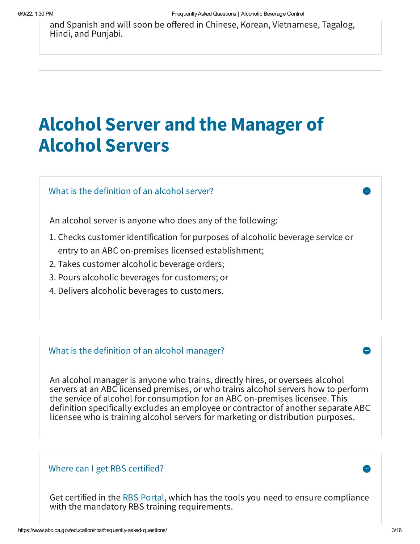and Spanish and will soon be offered in Chinese, Korean, Vietnamese, Tagalog, Hindi, and Punjabi.

# <span id="page-2-0"></span>**Alcohol Server and the Manager of Alcohol Servers**

What is the definition of an alcohol server?

An alcohol server is anyone who does any of the following:

- 1. Checks customer identification for purposes of alcoholic beverage service or entry to an ABC on-premises licensed establishment;
- 2. Takes customer alcoholic beverage orders;
- 3. Pours alcoholic beverages for customers; or
- 4. Delivers alcoholic beverages to customers.

## What is the definition of an alcohol manager?

An alcohol manager is anyone who trains, directly hires, or oversees alcohol servers at an ABC licensed premises, or who trains alcohol servers how to perform the service of alcohol for consumption for an ABC on-premises licensee. This definition specifically excludes an employee or contractor of another separate ABC licensee who is training alcohol servers for marketing or distribution purposes.

## Where can I get RBS certified?

Get certified in the RBS [Portal,](https://abcbiz.abc.ca.gov/) which has the tools you need to ensure compliance with the mandatory RBS training requirements.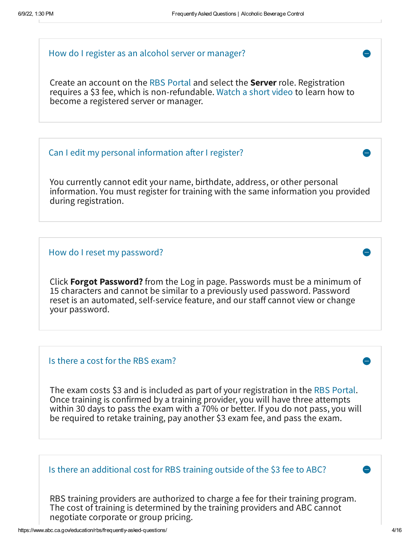## How do I register as an alcohol server or manager?

Create an account on the RBS [Portal](https://abcbiz.abc.ca.gov/) and select the **Server** role. Registration requires a \$3 fee, which is non-refundable. [Watch](https://www.youtube.com/watch?v=6cngOcYuOWE) a short video to learn how to become a registered server or manager.

## Can I edit my personal information after I register?

You currently cannot edit your name, birthdate, address, or other personal information. You must register for training with the same information you provided during registration.

## How do I reset my password?

Click **Forgot Password?** from the Log in page. Passwords must be a minimum of 15 characters and cannot be similar to a previously used password. Password reset is an automated, self-service feature, and our staff cannot view or change your password.

#### Is there a cost for the RBS exam?

The exam costs \$3 and is included as part of your registration in the RBS [Portal.](https://abcbiz.abc.ca.gov/) Once training is confirmed by a training provider, you will have three attempts within 30 days to pass the exam with a 70% or better. If you do not pass, you will be required to retake training, pay another \$3 exam fee, and pass the exam.

## Is there an additional cost for RBS training outside of the \$3 fee to ABC?

RBS training providers are authorized to charge a fee for their training program. The cost of training is determined by the training providers and ABC cannot negotiate corporate or group pricing.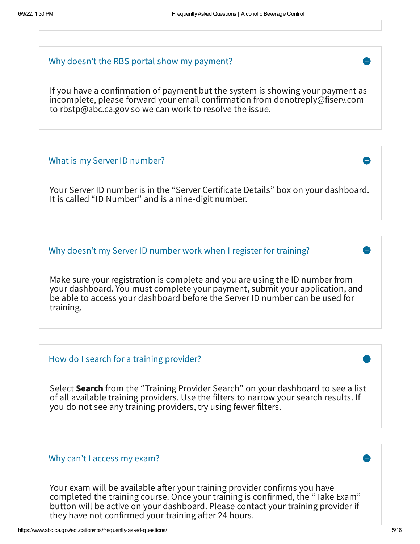#### Why doesn't the RBS portal show my payment?

If you have a confirmation of payment but the system is showing your payment as incomplete, please forward your email confirmation from donotreply@fiserv.com to rbstp@abc.ca.gov so we can work to resolve the issue.

#### What is my Server ID number?

Your Server ID number is in the "Server Certificate Details" box on your dashboard. It is called "ID Number" and is a nine-digit number.

Why doesn't my Server ID number work when I register for training?

Make sure your registration is complete and you are using the ID number from your dashboard. You must complete your payment, submit your application, and be able to access your dashboard before the Server ID number can be used for training.

How do I search for a training provider?

Select **Search** from the "Training Provider Search" on your dashboard to see a list of all available training providers. Use the filters to narrow your search results. If you do not see any training providers, try using fewer filters.

## Why can't I access my exam?

Your exam will be available after your training provider confirms you have completed the training course. Once your training is confirmed, the "Take Exam" button will be active on your dashboard. Please contact your training provider if they have not confirmed your training after 24 hours.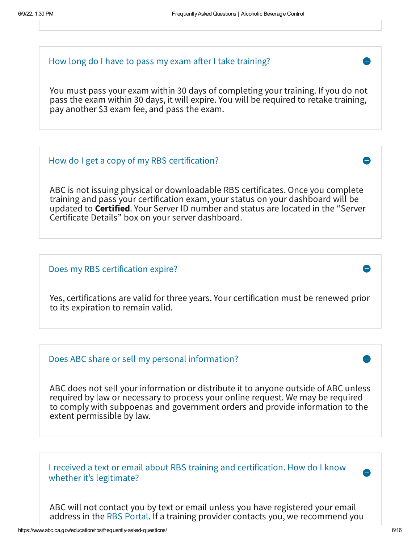#### How long do I have to pass my exam after I take training?

You must pass your exam within 30 days of completing your training. If you do not pass the exam within 30 days, it will expire. You will be required to retake training, pay another \$3 exam fee, and pass the exam.

#### How do I get a copy of my RBS certification?

ABC is not issuing physical or downloadable RBS certificates. Once you complete training and pass your certification exam, your status on your dashboard will be updated to **Certified**. Your Server ID number and status are located in the "Server Certificate Details" box on your server dashboard.

#### Does my RBS certification expire?

Yes, certifications are valid for three years. Your certification must be renewed prior to its expiration to remain valid.

#### Does ABC share or sell my personal information?

ABC does not sell your information or distribute it to anyone outside of ABC unless required by law or necessary to process your online request. We may be required to comply with subpoenas and government orders and provide information to the extent permissible by law.

I received a text or email about RBS training and certification. How do I know whether it's legitimate?

ABC will not contact you by text or email unless you have registered your email address in the RBS [Portal](https://abcbiz.abc.ca.gov/). If a training provider contacts you, we recommend you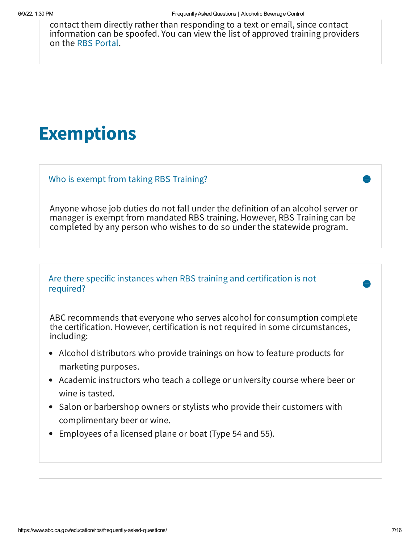contact them directly rather than responding to a text or email, since contact information can be spoofed. You can view the list of approved training providers on the RBS [Portal](https://abcbiz.abc.ca.gov/).

# <span id="page-6-0"></span>**Exemptions**

Who is exempt from taking RBS Training?

Anyone whose job duties do not fall under the definition of an alcohol server or manager is exempt from mandated RBS training. However, RBS Training can be completed by any person who wishes to do so under the statewide program.

## Are there specific instances when RBS training and certification is not required?

ABC recommends that everyone who serves alcohol for consumption complete the certification. However, certification is not required in some circumstances, including:

- Alcohol distributors who provide trainings on how to feature products for marketing purposes.
- Academic instructors who teach a college or university course where beer or wine is tasted.
- Salon or barbershop owners or stylists who provide their customers with complimentary beer or wine.
- <span id="page-6-1"></span>Employees of a licensed plane or boat (Type 54 and 55).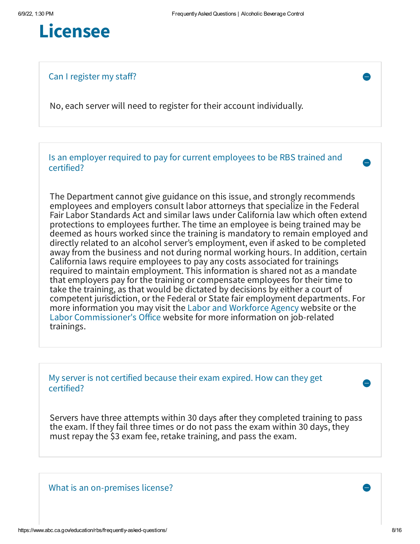

Can I register my staff?

No, each server will need to register for their account individually.

Is an employer required to pay for current employees to be RBS trained and certified?

The Department cannot give guidance on this issue, and strongly recommends employees and employers consult labor attorneys that specialize in the Federal Fair Labor Standards Act and similar laws under California law which often extend protections to employees further. The time an employee is being trained may be deemed as hours worked since the training is mandatory to remain employed and directly related to an alcohol server's employment, even if asked to be completed away from the business and not during normal working hours. In addition, certain California laws require employees to pay any costs associated for trainings required to maintain employment. This information is shared not as a mandate that employers pay for the training or compensate employees for their time to take the training, as that would be dictated by decisions by either a court of competent jurisdiction, or the Federal or State fair employment departments. For more information you may visit the Labor and [Workforce](https://www.labor.ca.gov/) Agency website or the Labor [Commissioner's](https://www.dir.ca.gov/dlse/) Office website for more information on job-related trainings.

My server is not certified because their exam expired. How can they get certified?

Servers have three attempts within 30 days after they completed training to pass the exam. If they fail three times or do not pass the exam within 30 days, they must repay the \$3 exam fee, retake training, and pass the exam.

What is an on-premises license?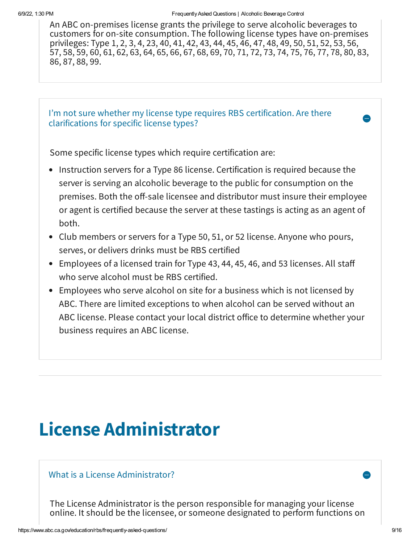An ABC on-premises license grants the privilege to serve alcoholic beverages to customers for on-site consumption. The following license types have on-premises privileges: Type 1, 2, 3, 4, 23, 40, 41, 42, 43, 44, 45, 46, 47, 48, 49, 50, 51, 52, 53, 56, 57, 58, 59, 60, 61, 62, 63, 64, 65, 66, 67, 68, 69, 70, 71, 72, 73, 74, 75, 76, 77, 78, 80, 83, 86, 87, 88, 99.

I'm not sure whether my license type requires RBS certification. Are there clarifications for specific license types?

Some specific license types which require certification are:

- Instruction servers for a Type 86 license. Certification is required because the server is serving an alcoholic beverage to the public for consumption on the premises. Both the off-sale licensee and distributor must insure their employee or agent is certified because the server at these tastings is acting as an agent of both.
- Club members or servers for a Type 50, 51, or 52 license. Anyone who pours, serves, or delivers drinks must be RBS certified
- Employees of a licensed train for Type 43, 44, 45, 46, and 53 licenses. All staff who serve alcohol must be RBS certified.
- Employees who serve alcohol on site for a business which is not licensed by ABC. There are limited exceptions to when alcohol can be served without an ABC license. Please contact your local district office to determine whether your business requires an ABC license.

## <span id="page-8-0"></span>**License Administrator**

## What is a License Administrator? **Example 20** and the set of the set of the set of the set of the set of the set of the set of the set of the set of the set of the set of the set of the set of the set of the set of the set

The License Administrator is the person responsible for managing your license online. It should be the licensee, or someone designated to perform functions on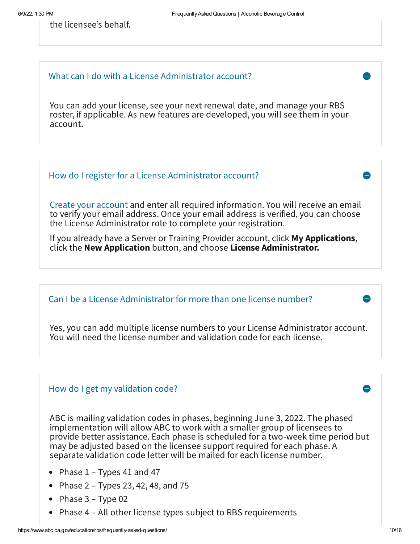the licensee's behalf.

## What can I do with a License Administrator account?

You can add your license, see your next renewal date, and manage your RBS roster, if applicable. As new features are developed, you will see them in your account.



Can I be a License Administrator for more than one license number?

Yes, you can add multiple license numbers to your License Administrator account. You will need the license number and validation code for each license.

## How do I get my validation code?

ABC is mailing validation codes in phases, beginning June 3, 2022. The phased implementation will allow ABC to work with a smaller group of licensees to provide better assistance. Each phase is scheduled for a two-week time period but may be adjusted based on the licensee support required for each phase. A separate validation code letter will be mailed for each license number.

- Phase  $1$  Types 41 and 47
- Phase  $2 -$  Types 23, 42, 48, and 75
- Phase  $3 Type 02$
- Phase 4 All other license types subject to RBS requirements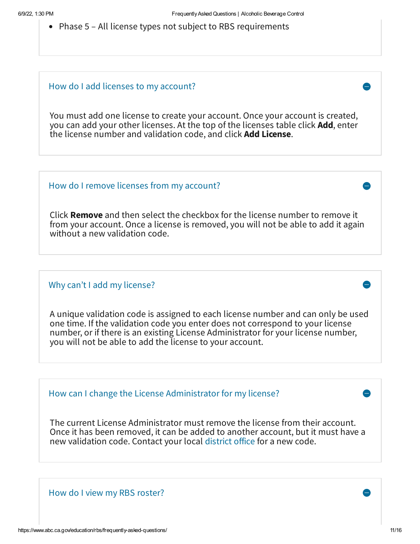• Phase 5 – All license types not subject to RBS requirements

## How do I add licenses to my account?

You must add one license to create your account. Once your account is created, you can add your other licenses. At the top of the licenses table click **Add**, enter the license number and validation code, and click **Add License**.

## How do I remove licenses from my account?

Click **Remove** and then select the checkbox for the license number to remove it from your account. Once a license is removed, you will not be able to add it again without a new validation code.

## Why can't I add my license?

A unique validation code is assigned to each license number and can only be used one time. If the validation code you enter does not correspond to your license number, or if there is an existing License Administrator for your license number, you will not be able to add the license to your account.

How can I change the License Administrator for my license?

The current License Administrator must remove the license from their account. Once it has been removed, it can be added to another account, but it must have a new validation code. Contact your local [district](https://www.abc.ca.gov/contact/#district-offices) office for a new code.

How do I view my RBS roster?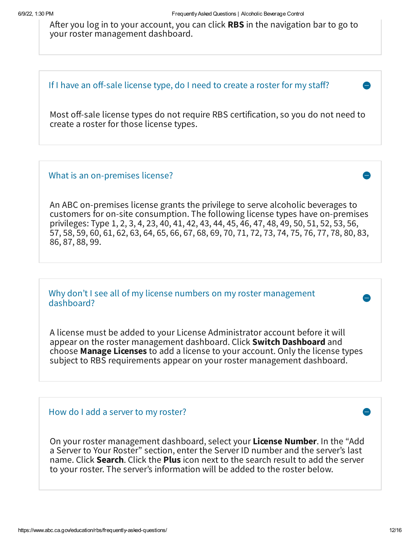After you log in to your account, you can click **RBS** in the navigation bar to go to your roster management dashboard.

## If I have an off-sale license type, do I need to create a roster for my staff?

Most off-sale license types do not require RBS certification, so you do not need to create a roster for those license types.

## What is an on-premises license?

An ABC on-premises license grants the privilege to serve alcoholic beverages to customers for on-site consumption. The following license types have on-premises privileges: Type 1, 2, 3, 4, 23, 40, 41, 42, 43, 44, 45, 46, 47, 48, 49, 50, 51, 52, 53, 56, 57, 58, 59, 60, 61, 62, 63, 64, 65, 66, 67, 68, 69, 70, 71, 72, 73, 74, 75, 76, 77, 78, 80, 83, 86, 87, 88, 99.

Why don't I see all of my license numbers on my roster management dashboard?

A license must be added to your License Administrator account before it will appear on the roster management dashboard. Click **Switch Dashboard** and choose **Manage Licenses** to add a license to your account. Only the license types subject to RBS requirements appear on your roster management dashboard.

## How do I add a server to my roster?

On your roster management dashboard, select your **License Number**. In the "Add a Server to Your Roster" section, enter the Server ID number and the server's last name. Click **Search**. Click the **Plus** icon next to the search result to add the server to your roster. The server's information will be added to the roster below.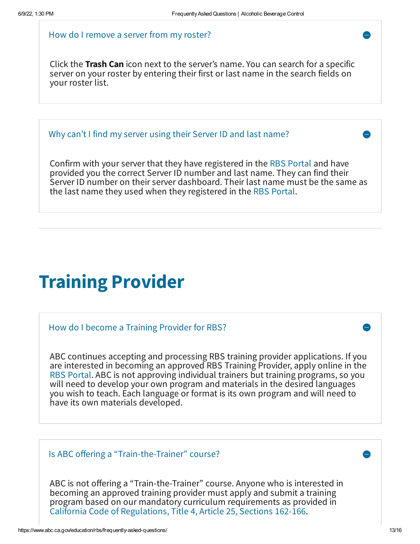#### How do I remove a server from my roster?

Click the **Trash Can** icon next to the server's name. You can search for a specific server on your roster by entering their first or last name in the search fields on your roster list.

Why can't I find my server using their Server ID and last name?

Confirm with your server that they have registered in the RBS [Portal](https://abcbiz.abc.ca.gov/) and have provided you the correct Server ID number and last name. They can find their Server ID number on their server dashboard. Their last name must be the same as the last name they used when they registered in the RBS [Portal](https://abcbiz.abc.ca.gov/).

## <span id="page-12-0"></span>**Training Provider**

How do I become a Training Provider for RBS?

ABC continues accepting and processing RBS training provider applications. If you are interested in becoming an approved RBS Training Provider, apply online in the RBS [Portal](https://abcbiz.abc.ca.gov/). ABC is not approving individual trainers but training programs, so you will need to develop your own program and materials in the desired languages you wish to teach. Each language or format is its own program and will need to have its own materials developed.

Is ABC offering a "Train-the-Trainer" course?

ABC is not offering a "Train-the-Trainer" course. Anyone who is interested in becoming an approved training provider must apply and submit a training program based on our mandatory curriculum requirements as provided in California Code of [Regulations,](https://govt.westlaw.com/calregs/Browse/Home/California/CaliforniaCodeofRegulations?guid=I600B6FDDD105482A821802162B621C69&originationContext=documenttoc&transitionType=Default&contextData=(sc.Default)) Title 4, Article 25, Sections 162-166.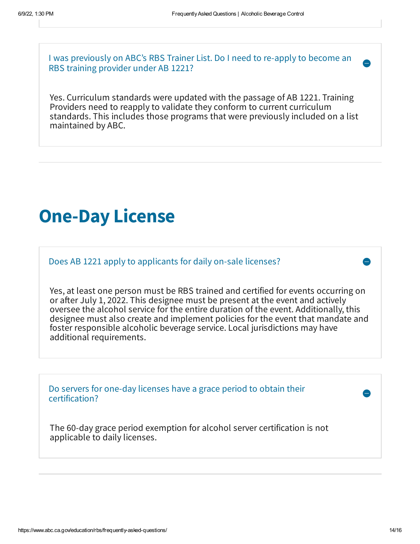I was previously on ABC's RBS Trainer List. Do I need to re-apply to become an RBS training provider under AB 1221?

Yes. Curriculum standards were updated with the passage of AB 1221. Training Providers need to reapply to validate they conform to current curriculum standards. This includes those programs that were previously included on a list maintained by ABC.

## <span id="page-13-0"></span>**One-Day License**

Does AB 1221 apply to applicants for daily on-sale licenses?

Yes, at least one person must be RBS trained and certified for events occurring on or after July 1, 2022. This designee must be present at the event and actively oversee the alcohol service for the entire duration of the event. Additionally, this designee must also create and implement policies for the event that mandate and foster responsible alcoholic beverage service. Local jurisdictions may have additional requirements.

Do servers for one-day licenses have a grace period to obtain their certification?

<span id="page-13-1"></span>The 60-day grace period exemption for alcohol server certification is not applicable to daily licenses.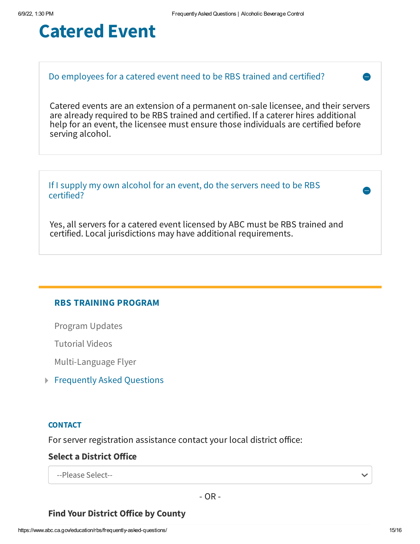## **Catered Event**

## Do employees for a catered event need to be RBS trained and certified?

Catered events are an extension of a permanent on-sale licensee, and their servers are already required to be RBS trained and certified. If a caterer hires additional help for an event, the licensee must ensure those individuals are certified before serving alcohol.

If I supply my own alcohol for an event, do the servers need to be RBS certified?

Yes, all servers for a catered event licensed by ABC must be RBS trained and certified. Local jurisdictions may have additional requirements.

## **RBS TRAINING PROGRAM**

[Program](https://www.abc.ca.gov/education/rbs/program-updates/) Updates

[Tutorial](https://www.youtube.com/playlist?list=PLkQmb-gnart1eFeVah484vpIrO721NoYK) Videos

[Multi-Language](https://www.abc.ca.gov/wp-content/uploads/2022/06/Multi-Language-Flyer.pdf) Flyer

Frequently Asked Questions

#### **CONTACT**

For server registration assistance contact your local district office:

## **Select a District Office**

--Please Select--

- OR -

## **Find Your District Office by County**